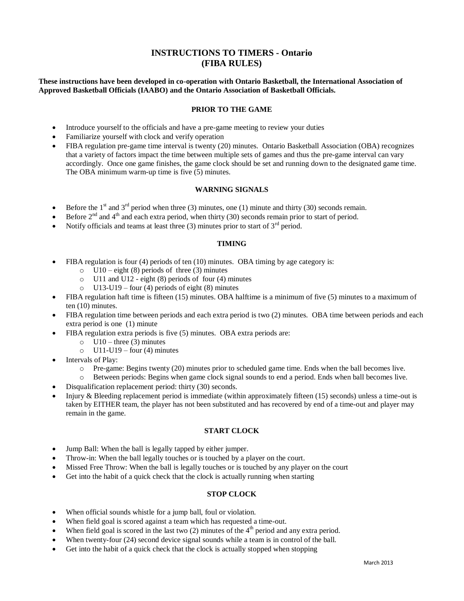# **INSTRUCTIONS TO TIMERS - Ontario (FIBA RULES)**

## **These instructions have been developed in co-operation with Ontario Basketball, the International Association of Approved Basketball Officials (IAABO) and the Ontario Association of Basketball Officials.**

#### **PRIOR TO THE GAME**

- Introduce yourself to the officials and have a pre-game meeting to review your duties
- Familiarize yourself with clock and verify operation
- FIBA regulation pre-game time interval is twenty (20) minutes. Ontario Basketball Association (OBA) recognizes that a variety of factors impact the time between multiple sets of games and thus the pre-game interval can vary accordingly. Once one game finishes, the game clock should be set and running down to the designated game time. The OBA minimum warm-up time is five (5) minutes.

#### **WARNING SIGNALS**

- Before the  $1<sup>st</sup>$  and  $3<sup>rd</sup>$  period when three (3) minutes, one (1) minute and thirty (30) seconds remain.
- Before 2<sup>nd</sup> and 4<sup>th</sup> and each extra period, when thirty (30) seconds remain prior to start of period.
- Notify officials and teams at least three (3) minutes prior to start of  $3<sup>rd</sup>$  period.

#### **TIMING**

- FIBA regulation is four (4) periods of ten (10) minutes. OBA timing by age category is:
	- $\circ$  U10 eight (8) periods of three (3) minutes
	- o U11 and U12 eight (8) periods of four (4) minutes
	- o U13-U19 four (4) periods of eight (8) minutes
- FIBA regulation haft time is fifteen (15) minutes. OBA halftime is a minimum of five (5) minutes to a maximum of ten (10) minutes.
- FIBA regulation time between periods and each extra period is two (2) minutes. OBA time between periods and each extra period is one (1) minute
- FIBA regulation extra periods is five (5) minutes. OBA extra periods are:
	- $\circ$  U10 three (3) minutes
	- $O$  U11-U19 four (4) minutes
- Intervals of Play:
	- o Pre-game: Begins twenty (20) minutes prior to scheduled game time. Ends when the ball becomes live.
	- o Between periods: Begins when game clock signal sounds to end a period. Ends when ball becomes live.
- Disqualification replacement period: thirty (30) seconds.
- Injury & Bleeding replacement period is immediate (within approximately fifteen (15) seconds) unless a time-out is taken by EITHER team, the player has not been substituted and has recovered by end of a time-out and player may remain in the game.

#### **START CLOCK**

- Jump Ball: When the ball is legally tapped by either jumper.
- Throw-in: When the ball legally touches or is touched by a player on the court.
- Missed Free Throw: When the ball is legally touches or is touched by any player on the court
- Get into the habit of a quick check that the clock is actually running when starting

## **STOP CLOCK**

- When official sounds whistle for a jump ball, foul or violation.
- When field goal is scored against a team which has requested a time-out.
- When field goal is scored in the last two  $(2)$  minutes of the 4<sup>th</sup> period and any extra period.
- When twenty-four (24) second device signal sounds while a team is in control of the ball.
- Get into the habit of a quick check that the clock is actually stopped when stopping